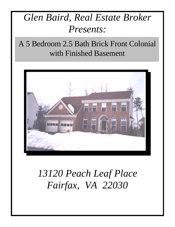# *Glen Baird, Real Estate Broker Presents:*

A 5 Bedroom 2.5 Bath Brick Front Colonial with Finished Basement



# *13120 Peach Leaf Place Fairfax, VA 22030*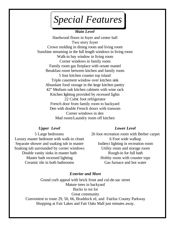*Special Features*

#### *Main Level*

Hardwood floors in foyer and center hall Two story foyer Crown molding in dining room and living room Sunshine streaming in the full length windows in living room Walk-in bay window in living room Corner windows in family room Family room gas fireplace with ornate mantel Breakfast room between kitchen and family room 5 foot kitchen counter top island Triple casement window over kitchen sink Abundant food storage in the large kitchen pantry 42" Medium oak kitchen cabinets with wine rack Kitchen lighting provided by recessed lights 22 Cubic foot refrigerator French door from family room to backyard Den with double French doors with transom Corner windows in den Mud room/Laundry room off kitchen

### *Upper Level*

5 Large bedrooms Luxury master bedroom with walk-in closet Separate shower and soaking tub in master Soaking tub surrounded by corner windows Double vanity sinks in master bath Master bath recessed lighting Ceramic tile in both bathrooms

#### *Lower Level*

26 foot recreation room with Berber carpet 6 Foot wide walkup Indirect lighting in recreation room Utility room and storage room Rough-in for full bath Hobby room with counter tops Gas furnace and hot water

#### *Exterior and More*

Grand curb appeal with brick front and cul-de-sac street Mature trees in backyard Backs to tot lot Great community Convenient to route 29, 50, 66, Braddock rd, and Fairfax County Parkway Shopping at Fair Lakes and Fair Oaks Mall just minutes away.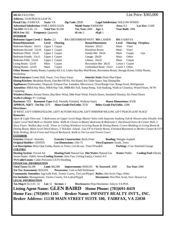**MLS#:** FX3137891 List Price: \$365,000 **Address:** 13120 PEACH LEAF PL **Postal City:** FAIRFAX **State:** VA **Zip Code:** 22030 **Legal Subdivision:** WILLOW PONDS **Advertised Subdivision:** FAIR LAKES GLEN **Model Name:** PARSONS **Area:** 8-3 **Lot Size:** 11430 **Tax ID#:** 55-3-10- -51 **Total Tax:** \$3,100 **Tax Year:** 2000 **Age:** 4 **Year Built:** 1996 **HOA Fee:** \$42 **Frequency:** Quarterly **#Lvls:** 3 **#Fpl:** 1 **INTERIOR Bedrooms Upper Level:** 5 **Baths:** 2.5 **ES:** GREENBRIAR WEST **MS:** LANIER **HS:** FAIRFAX **Room/Dimensions Level Flooring Room/Dimensions Level Flooring Fireplace** Bedroom-Master: 16x15 Upper 1 Carpet Kitchen: 20x12 Main Vinyl Bedroom-Second: 12x10 Upper 1 Carpet Breakfast Room Main Vinyl Bedroom-Third: 13x10 Upper 1 Carpet Family Rm: 19x16 Main Carpet Gas Bedroom-Fourth: 13x11 Upper 1 Carpet Garage: 20x20 Main Other Bedroom-Fifth: 15x10 Upper 1 Carpet Library: 10x10 Main Carpet Living Room: 12x10 Main Carpet Recreation Rm: 26x15 Lower 1 Carpet Dining Room: 12x10 Main Carpet Unfinished Bsmt: 15x12 Lower 1 Other **Other Rooms:** Family Room, Laundry-Kit Lvl, Lndry-Sep Rm, Mud Room, Recreation Room, Storage Room, Utility Room, Workshop **Main Entrance:** Center Hall, Foyer, Two Story Foyer **Interior Style:** Floor Plan-Open **Dining/Kitchen:** Breakfast Room, FamRm Off Kit, Kit-Island, Kit-Table Space, Sep Dining Rm **Appliances:** Dishwasher, Disposal, Exhaust Fan, Icemaker, Microwave, Oven/Range-Gas, Range hood, Refrigerator **Amenities:** MBA/Sep Shwr, MBA/Sep Tub, MBR-BA Full, Sump Pump, Tub-Soaking, Walk-in Closet(s), Wood Floors, W/W **Carpeting Windows/Doors:** Atrium Doors, Bay/Bow Wind, Dble Pane Wind, French Doors, Insulated Door(s), Six Panel Doors **Walls/Ceilings:** 9'+ Ceilings **Basement:** YES **Basement Type:** Full, Partially Finished, Walkout Stairs **House Dimensions:** 47x30 **APPROX. SQFT - Tot Fin:** 3576 **Above Grade Fin/Unfin:** 2576/ **Below Grade Fin/Unfin:** 1,000 **Directions:** *50 WEST, LEFT STRINGFELLOW, LEFT AUTUMN WILLOW, LEFT WHISPER WILLOW, LEFT PEACH LEAF PLACE* **Remarks:** *Open & Light Thru-out. 5 Bedrooms on Upper Level Huge Master Suite with Separate Soaking Tub & Shower plus Double Sink, Upper Level Hall Bath w/ Double Sinks, Walk-In Closet in Master Bedroom & Bedroom 5, Hardwood Entry & Center Hall, 2 Story Foyer, Walkin Bay in LR, Floor to Ceiling Windows in Living Room & Dining Room, Crown Molding in Living Room & Dining Room, Main Level Den/Library, 5' Kitchen Island , Gas FP in Family Room, Finished Basement w/ Berber Carpet & 6 FT Wide Walkup, Brick Front and Fenced Backyard, Walk to Tot Lot and Tennis Court.* **EXTERIOR Exterior:** Fenced - Partially **Exterior Construction:** Brick Front **Roofing:** Shingle-Asphalt **Original Builder:** CENTEX **Lot Dimensions:** 116x 73 **View/Exposure:** South, Trees **Lot Description:** Bcks-Opn Comm, Backs to Trees, Cul-de-sac, Trees/Wooded **Parking:** 2 Car Attached Garage **UTILITIES Heating System:** Forced Air **Heating Fuel:** Natural Gas **Hot Water:** Natural Gas **Water:** Public **Cooling Fuel:** Electric Sewer/Septic: Public Sewer**Cooling System:** Attic Fan, Ceiling Fan(s), Central A/C **TV/Cable/Comm:** Cable-Prewired,CATV/Dwelling **FINANCIAL INFORMATION Total Taxes:** \$3,100 **Land:** \$82,500 **Improvements:** \$169,510 **Yr Assessed:** 2000 **Tax Year:** 2000 **Tot Tax Assessment:** \$252,010 **Possession:** Coin w/Sell Settlement **Community Amenities:** Jog/walk Path, Tennis Courts, Tot Lots/Plygrd **Rules:** Altr/Arch Chgs, Other **Fee Includes:** Management, Tennis Courts, Tot Lot(s)/Plygrd **Documents:** Hse Plns Avail, Surv-House Loc **LEGAL INFORMATION Tax Map #:** 55-3-10- -51 **Lot:** 51 **Section:** 2 **Disclosures:** Prop Disclaimer, Subj to VA POA **Listing Agent Name: GLEN BAIRD Home Phone: (703)691-8419 Home Fax: (703)691-1165 Broker Name: INFINITY REALTY INT'L, INC. Broker Address: 11130 MAIN STREET SUITE 100, FAIRFAX, VA 22030**